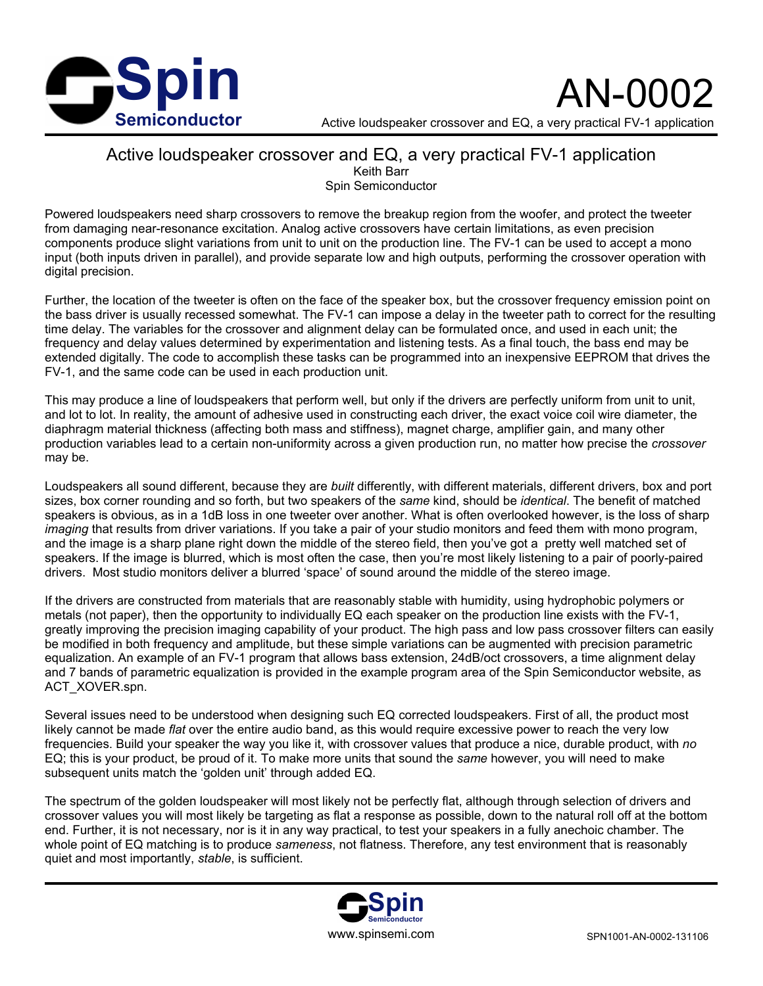

AN-0002

Active loudspeaker crossover and EQ, a very practical FV-1 application

## Active loudspeaker crossover and EQ, a very practical FV-1 application Keith Barr Spin Semiconductor

Powered loudspeakers need sharp crossovers to remove the breakup region from the woofer, and protect the tweeter from damaging near-resonance excitation. Analog active crossovers have certain limitations, as even precision components produce slight variations from unit to unit on the production line. The FV-1 can be used to accept a mono input (both inputs driven in parallel), and provide separate low and high outputs, performing the crossover operation with digital precision.

Further, the location of the tweeter is often on the face of the speaker box, but the crossover frequency emission point on the bass driver is usually recessed somewhat. The FV-1 can impose a delay in the tweeter path to correct for the resulting time delay. The variables for the crossover and alignment delay can be formulated once, and used in each unit; the frequency and delay values determined by experimentation and listening tests. As a final touch, the bass end may be extended digitally. The code to accomplish these tasks can be programmed into an inexpensive EEPROM that drives the FV-1, and the same code can be used in each production unit.

This may produce a line of loudspeakers that perform well, but only if the drivers are perfectly uniform from unit to unit, and lot to lot. In reality, the amount of adhesive used in constructing each driver, the exact voice coil wire diameter, the diaphragm material thickness (affecting both mass and stiffness), magnet charge, amplifier gain, and many other production variables lead to a certain non-uniformity across a given production run, no matter how precise the *crossover* may be.

Loudspeakers all sound different, because they are *built* differently, with different materials, different drivers, box and port sizes, box corner rounding and so forth, but two speakers of the *same* kind, should be *identical*. The benefit of matched speakers is obvious, as in a 1dB loss in one tweeter over another. What is often overlooked however, is the loss of sharp *imaging* that results from driver variations. If you take a pair of your studio monitors and feed them with mono program, and the image is a sharp plane right down the middle of the stereo field, then you've got a pretty well matched set of speakers. If the image is blurred, which is most often the case, then you're most likely listening to a pair of poorly-paired drivers. Most studio monitors deliver a blurred 'space' of sound around the middle of the stereo image.

If the drivers are constructed from materials that are reasonably stable with humidity, using hydrophobic polymers or metals (not paper), then the opportunity to individually EQ each speaker on the production line exists with the FV-1, greatly improving the precision imaging capability of your product. The high pass and low pass crossover filters can easily be modified in both frequency and amplitude, but these simple variations can be augmented with precision parametric equalization. An example of an FV-1 program that allows bass extension, 24dB/oct crossovers, a time alignment delay and 7 bands of parametric equalization is provided in the example program area of the Spin Semiconductor website, as ACT\_XOVER.spn.

Several issues need to be understood when designing such EQ corrected loudspeakers. First of all, the product most likely cannot be made *flat* over the entire audio band, as this would require excessive power to reach the very low frequencies. Build your speaker the way you like it, with crossover values that produce a nice, durable product, with *no* EQ; this is your product, be proud of it. To make more units that sound the *same* however, you will need to make subsequent units match the 'golden unit' through added EQ.

The spectrum of the golden loudspeaker will most likely not be perfectly flat, although through selection of drivers and crossover values you will most likely be targeting as flat a response as possible, down to the natural roll off at the bottom end. Further, it is not necessary, nor is it in any way practical, to test your speakers in a fully anechoic chamber. The whole point of EQ matching is to produce *sameness*, not flatness. Therefore, any test environment that is reasonably quiet and most importantly, *stable*, is sufficient.

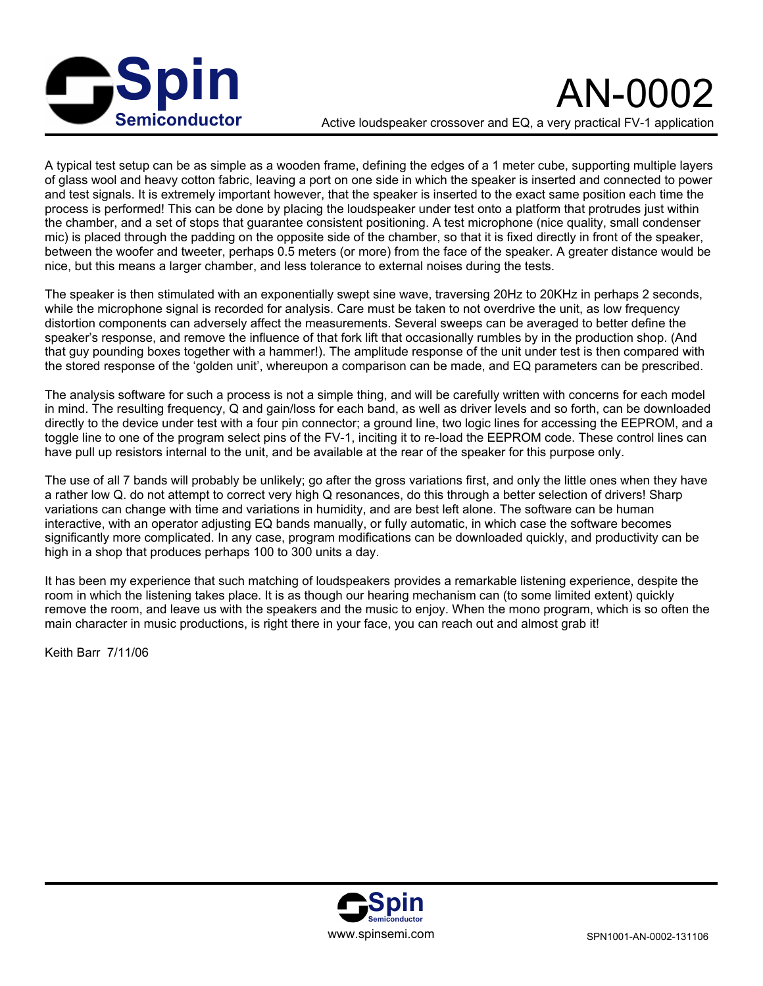

Active loudspeaker crossover and EQ, a very practical FV-1 application

A typical test setup can be as simple as a wooden frame, defining the edges of a 1 meter cube, supporting multiple layers of glass wool and heavy cotton fabric, leaving a port on one side in which the speaker is inserted and connected to power and test signals. It is extremely important however, that the speaker is inserted to the exact same position each time the process is performed! This can be done by placing the loudspeaker under test onto a platform that protrudes just within the chamber, and a set of stops that guarantee consistent positioning. A test microphone (nice quality, small condenser mic) is placed through the padding on the opposite side of the chamber, so that it is fixed directly in front of the speaker, between the woofer and tweeter, perhaps 0.5 meters (or more) from the face of the speaker. A greater distance would be nice, but this means a larger chamber, and less tolerance to external noises during the tests.

The speaker is then stimulated with an exponentially swept sine wave, traversing 20Hz to 20KHz in perhaps 2 seconds, while the microphone signal is recorded for analysis. Care must be taken to not overdrive the unit, as low frequency distortion components can adversely affect the measurements. Several sweeps can be averaged to better define the speaker's response, and remove the influence of that fork lift that occasionally rumbles by in the production shop. (And that guy pounding boxes together with a hammer!). The amplitude response of the unit under test is then compared with the stored response of the 'golden unit', whereupon a comparison can be made, and EQ parameters can be prescribed.

The analysis software for such a process is not a simple thing, and will be carefully written with concerns for each model in mind. The resulting frequency, Q and gain/loss for each band, as well as driver levels and so forth, can be downloaded directly to the device under test with a four pin connector; a ground line, two logic lines for accessing the EEPROM, and a toggle line to one of the program select pins of the FV-1, inciting it to re-load the EEPROM code. These control lines can have pull up resistors internal to the unit, and be available at the rear of the speaker for this purpose only.

The use of all 7 bands will probably be unlikely; go after the gross variations first, and only the little ones when they have a rather low Q. do not attempt to correct very high Q resonances, do this through a better selection of drivers! Sharp variations can change with time and variations in humidity, and are best left alone. The software can be human interactive, with an operator adjusting EQ bands manually, or fully automatic, in which case the software becomes significantly more complicated. In any case, program modifications can be downloaded quickly, and productivity can be high in a shop that produces perhaps 100 to 300 units a day.

It has been my experience that such matching of loudspeakers provides a remarkable listening experience, despite the room in which the listening takes place. It is as though our hearing mechanism can (to some limited extent) quickly remove the room, and leave us with the speakers and the music to enjoy. When the mono program, which is so often the main character in music productions, is right there in your face, you can reach out and almost grab it!

Keith Barr 7/11/06